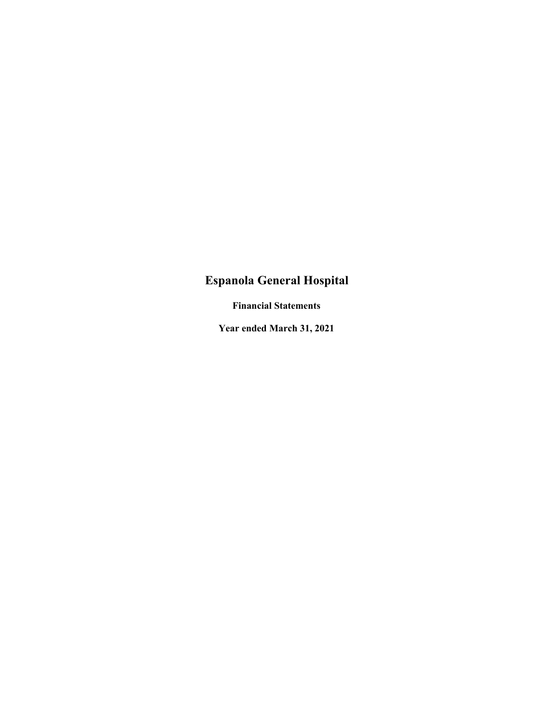# **Espanola General Hospital**

 **Financial Statements** 

 **Year ended March 31, 2021**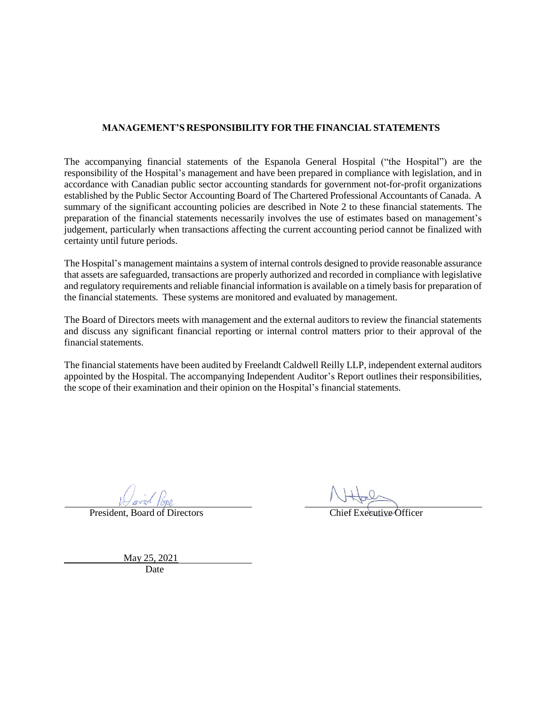#### **MANAGEMENT'S RESPONSIBILITY FOR THE FINANCIAL STATEMENTS**

The accompanying financial statements of the Espanola General Hospital ("the Hospital") are the responsibility of the Hospital's management and have been prepared in compliance with legislation, and in accordance with Canadian public sector accounting standards for government not-for-profit organizations established by the Public Sector Accounting Board of The Chartered Professional Accountants of Canada. A summary of the significant accounting policies are described in Note 2 to these financial statements. The preparation of the financial statements necessarily involves the use of estimates based on management's judgement, particularly when transactions affecting the current accounting period cannot be finalized with certainty until future periods.

The Hospital's management maintains a system of internal controls designed to provide reasonable assurance that assets are safeguarded, transactions are properly authorized and recorded in compliance with legislative and regulatory requirements and reliable financial information is available on a timely basisfor preparation of the financial statements. These systems are monitored and evaluated by management.

The Board of Directors meets with management and the external auditors to review the financial statements and discuss any significant financial reporting or internal control matters prior to their approval of the financial statements.

The financial statements have been audited by Freelandt Caldwell Reilly LLP, independent external auditors appointed by the Hospital. The accompanying Independent Auditor's Report outlines their responsibilities, the scope of their examination and their opinion on the Hospital's financial statements.

President, Board of Directors Chief Executive Officer

May 25, 2021

Date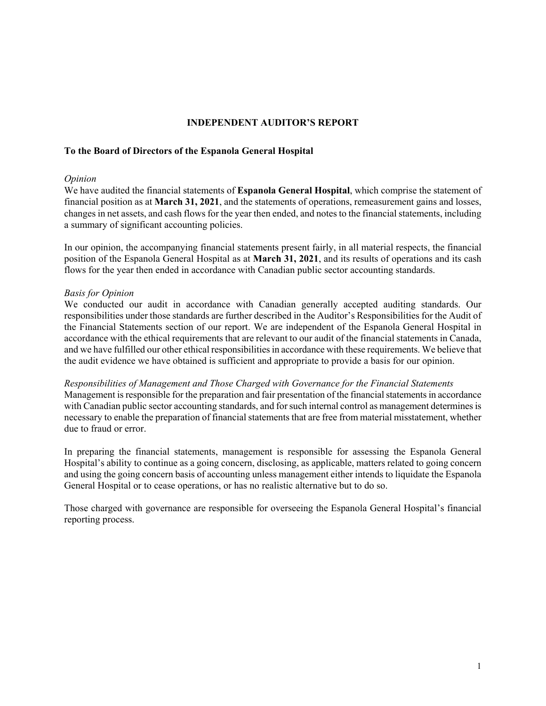#### **INDEPENDENT AUDITOR'S REPORT**

#### **To the Board of Directors of the Espanola General Hospital**

#### *Opinion*

We have audited the financial statements of **Espanola General Hospital**, which comprise the statement of financial position as at **March 31, 2021**, and the statements of operations, remeasurement gains and losses, changes in net assets, and cash flows for the year then ended, and notes to the financial statements, including a summary of significant accounting policies.

In our opinion, the accompanying financial statements present fairly, in all material respects, the financial position of the Espanola General Hospital as at **March 31, 2021**, and its results of operations and its cash flows for the year then ended in accordance with Canadian public sector accounting standards.

#### *Basis for Opinion*

We conducted our audit in accordance with Canadian generally accepted auditing standards. Our responsibilities under those standards are further described in the Auditor's Responsibilities for the Audit of the Financial Statements section of our report. We are independent of the Espanola General Hospital in accordance with the ethical requirements that are relevant to our audit of the financial statements in Canada, and we have fulfilled our other ethical responsibilities in accordance with these requirements. We believe that the audit evidence we have obtained is sufficient and appropriate to provide a basis for our opinion.

*Responsibilities of Management and Those Charged with Governance for the Financial Statements*  Management is responsible for the preparation and fair presentation of the financial statements in accordance with Canadian public sector accounting standards, and for such internal control as management determines is necessary to enable the preparation of financial statements that are free from material misstatement, whether due to fraud or error.

In preparing the financial statements, management is responsible for assessing the Espanola General Hospital's ability to continue as a going concern, disclosing, as applicable, matters related to going concern and using the going concern basis of accounting unless management either intends to liquidate the Espanola General Hospital or to cease operations, or has no realistic alternative but to do so.

Those charged with governance are responsible for overseeing the Espanola General Hospital's financial reporting process.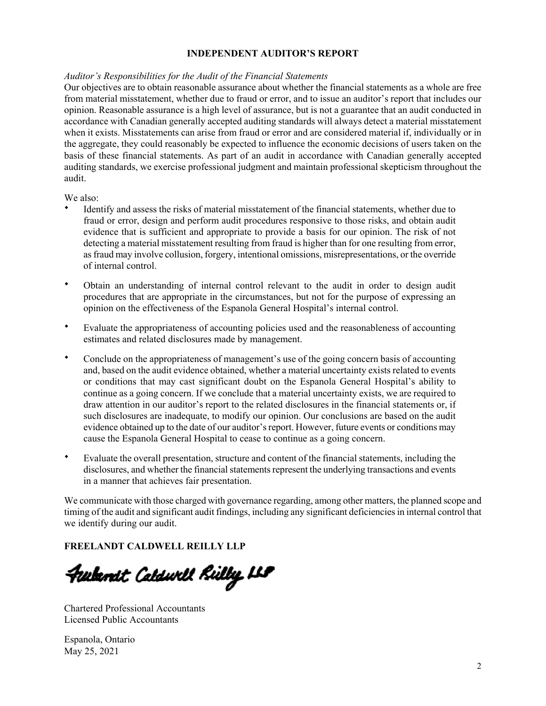#### **INDEPENDENT AUDITOR'S REPORT**

#### *Auditor's Responsibilities for the Audit of the Financial Statements*

Our objectives are to obtain reasonable assurance about whether the financial statements as a whole are free from material misstatement, whether due to fraud or error, and to issue an auditor's report that includes our opinion. Reasonable assurance is a high level of assurance, but is not a guarantee that an audit conducted in accordance with Canadian generally accepted auditing standards will always detect a material misstatement when it exists. Misstatements can arise from fraud or error and are considered material if, individually or in the aggregate, they could reasonably be expected to influence the economic decisions of users taken on the basis of these financial statements. As part of an audit in accordance with Canadian generally accepted auditing standards, we exercise professional judgment and maintain professional skepticism throughout the audit.

We also:

- Identify and assess the risks of material misstatement of the financial statements, whether due to fraud or error, design and perform audit procedures responsive to those risks, and obtain audit evidence that is sufficient and appropriate to provide a basis for our opinion. The risk of not detecting a material misstatement resulting from fraud is higher than for one resulting from error, as fraud may involve collusion, forgery, intentional omissions, misrepresentations, or the override of internal control.
- Obtain an understanding of internal control relevant to the audit in order to design audit procedures that are appropriate in the circumstances, but not for the purpose of expressing an opinion on the effectiveness of the Espanola General Hospital's internal control.
- Evaluate the appropriateness of accounting policies used and the reasonableness of accounting estimates and related disclosures made by management.
- Conclude on the appropriateness of management's use of the going concern basis of accounting and, based on the audit evidence obtained, whether a material uncertainty exists related to events or conditions that may cast significant doubt on the Espanola General Hospital's ability to continue as a going concern. If we conclude that a material uncertainty exists, we are required to draw attention in our auditor's report to the related disclosures in the financial statements or, if such disclosures are inadequate, to modify our opinion. Our conclusions are based on the audit evidence obtained up to the date of our auditor's report. However, future events or conditions may cause the Espanola General Hospital to cease to continue as a going concern.
- Evaluate the overall presentation, structure and content of the financial statements, including the disclosures, and whether the financial statements represent the underlying transactions and events in a manner that achieves fair presentation.

We communicate with those charged with governance regarding, among other matters, the planned scope and timing of the audit and significant audit findings, including any significant deficiencies in internal control that we identify during our audit.

#### **FREELANDT CALDWELL REILLY LLP**

Furbanat Caldurll Rülby ILP

Chartered Professional Accountants Licensed Public Accountants

Espanola, Ontario May 25, 2021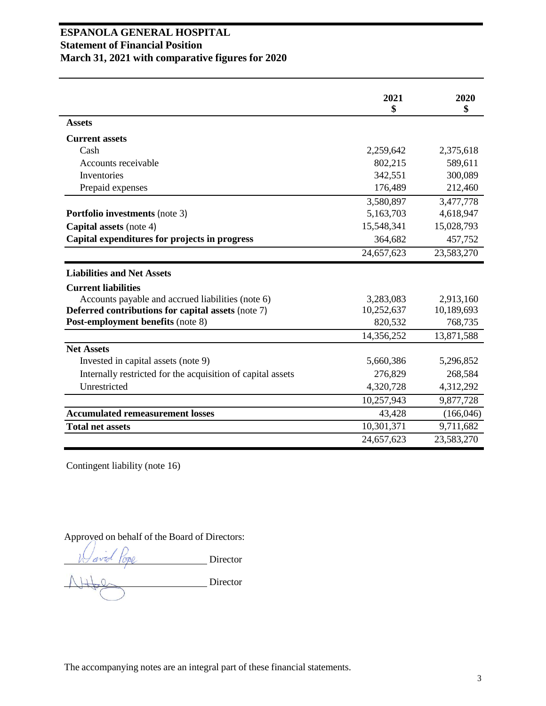### **ESPANOLA GENERAL HOSPITAL Statement of Financial Position March 31, 2021 with comparative figures for 2020**

|                                                             | 2021<br>\$ | 2020<br>\$ |
|-------------------------------------------------------------|------------|------------|
| <b>Assets</b>                                               |            |            |
| <b>Current assets</b>                                       |            |            |
| Cash                                                        | 2,259,642  | 2,375,618  |
| Accounts receivable                                         | 802,215    | 589,611    |
| Inventories                                                 | 342,551    | 300,089    |
| Prepaid expenses                                            | 176,489    | 212,460    |
|                                                             | 3,580,897  | 3,477,778  |
| <b>Portfolio investments</b> (note 3)                       | 5,163,703  | 4,618,947  |
| <b>Capital assets (note 4)</b>                              | 15,548,341 | 15,028,793 |
| Capital expenditures for projects in progress               | 364,682    | 457,752    |
|                                                             | 24,657,623 | 23,583,270 |
| <b>Liabilities and Net Assets</b>                           |            |            |
| <b>Current liabilities</b>                                  |            |            |
| Accounts payable and accrued liabilities (note 6)           | 3,283,083  | 2,913,160  |
| <b>Deferred contributions for capital assets (note 7)</b>   | 10,252,637 | 10,189,693 |
| Post-employment benefits (note 8)                           | 820,532    | 768,735    |
|                                                             | 14,356,252 | 13,871,588 |
| <b>Net Assets</b>                                           |            |            |
| Invested in capital assets (note 9)                         | 5,660,386  | 5,296,852  |
| Internally restricted for the acquisition of capital assets | 276,829    | 268,584    |
| Unrestricted                                                | 4,320,728  | 4,312,292  |
|                                                             | 10,257,943 | 9,877,728  |
| <b>Accumulated remeasurement losses</b>                     | 43,428     | (166, 046) |
| <b>Total net assets</b>                                     | 10,301,371 | 9,711,682  |
|                                                             | 24,657,623 | 23,583,270 |

Contingent liability (note 16)

Approved on behalf of the Board of Directors:

Director

Director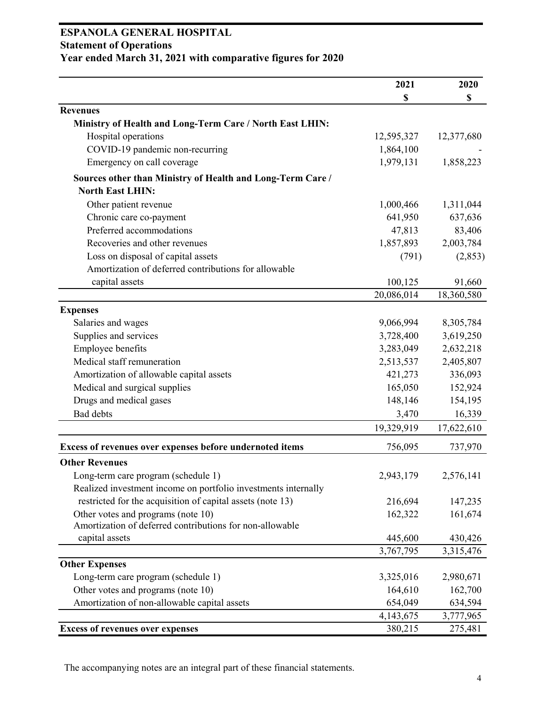### **ESPANOLA GENERAL HOSPITAL Statement of Operations Year ended March 31, 2021 with comparative figures for 2020**

|                                                                                       | 2021       | 2020       |
|---------------------------------------------------------------------------------------|------------|------------|
|                                                                                       | \$         | \$         |
| <b>Revenues</b>                                                                       |            |            |
| Ministry of Health and Long-Term Care / North East LHIN:                              |            |            |
| Hospital operations                                                                   | 12,595,327 | 12,377,680 |
| COVID-19 pandemic non-recurring                                                       | 1,864,100  |            |
| Emergency on call coverage                                                            | 1,979,131  | 1,858,223  |
| Sources other than Ministry of Health and Long-Term Care /<br><b>North East LHIN:</b> |            |            |
| Other patient revenue                                                                 | 1,000,466  | 1,311,044  |
| Chronic care co-payment                                                               | 641,950    | 637,636    |
| Preferred accommodations                                                              | 47,813     | 83,406     |
| Recoveries and other revenues                                                         | 1,857,893  | 2,003,784  |
| Loss on disposal of capital assets                                                    | (791)      | (2,853)    |
| Amortization of deferred contributions for allowable                                  |            |            |
| capital assets                                                                        | 100,125    | 91,660     |
|                                                                                       | 20,086,014 | 18,360,580 |
| <b>Expenses</b>                                                                       |            |            |
| Salaries and wages                                                                    | 9,066,994  | 8,305,784  |
| Supplies and services                                                                 | 3,728,400  | 3,619,250  |
| Employee benefits                                                                     | 3,283,049  | 2,632,218  |
| Medical staff remuneration                                                            | 2,513,537  | 2,405,807  |
| Amortization of allowable capital assets                                              | 421,273    | 336,093    |
| Medical and surgical supplies                                                         | 165,050    | 152,924    |
| Drugs and medical gases                                                               | 148,146    | 154,195    |
| <b>Bad</b> debts                                                                      | 3,470      | 16,339     |
|                                                                                       | 19,329,919 | 17,622,610 |
| Excess of revenues over expenses before undernoted items                              | 756,095    | 737,970    |
| <b>Other Revenues</b>                                                                 |            |            |
| Long-term care program (schedule 1)                                                   | 2,943,179  | 2,576,141  |
| Realized investment income on portfolio investments internally                        |            |            |
| restricted for the acquisition of capital assets (note 13)                            | 216,694    | 147,235    |
| Other votes and programs (note 10)                                                    | 162,322    | 161,674    |
| Amortization of deferred contributions for non-allowable                              |            |            |
| capital assets                                                                        | 445,600    | 430,426    |
|                                                                                       | 3,767,795  | 3,315,476  |
| <b>Other Expenses</b>                                                                 |            |            |
| Long-term care program (schedule 1)                                                   | 3,325,016  | 2,980,671  |
| Other votes and programs (note 10)                                                    | 164,610    | 162,700    |
| Amortization of non-allowable capital assets                                          | 654,049    | 634,594    |
|                                                                                       | 4,143,675  | 3,777,965  |
| <b>Excess of revenues over expenses</b>                                               | 380,215    | 275,481    |

The accompanying notes are an integral part of these financial statements.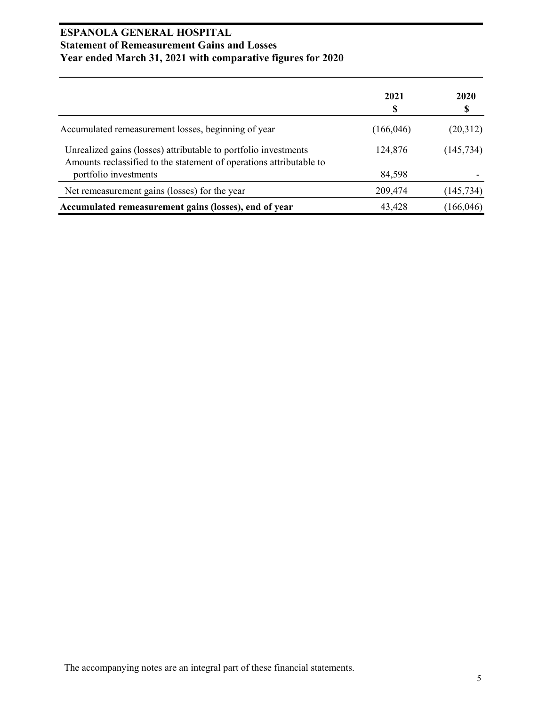### **ESPANOLA GENERAL HOSPITAL Statement of Remeasurement Gains and Losses Year ended March 31, 2021 with comparative figures for 2020**

|                                                                                                                                        | 2021<br>S  | 2020<br>S  |
|----------------------------------------------------------------------------------------------------------------------------------------|------------|------------|
| Accumulated remeasurement losses, beginning of year                                                                                    | (166, 046) | (20,312)   |
| Unrealized gains (losses) attributable to portfolio investments<br>Amounts reclassified to the statement of operations attributable to | 124,876    | (145, 734) |
| portfolio investments                                                                                                                  | 84,598     |            |
| Net remeasurement gains (losses) for the year                                                                                          | 209,474    | (145, 734) |
| Accumulated remeasurement gains (losses), end of year                                                                                  | 43,428     | (166, 046) |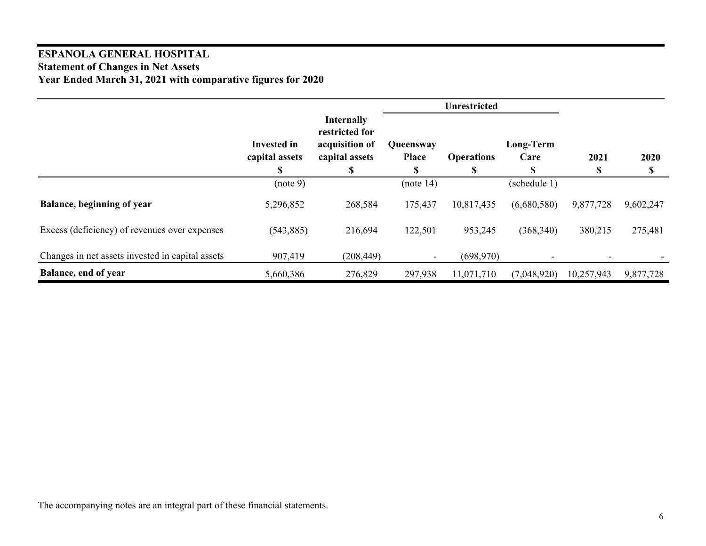### **ESPANOLA GENERAL HOSPITAL Statement of Changes in Net Assets Year Ended March 31, 2021 with comparative figures for 2020**

|                                                  |                                    |                                                                         |                                 | <b>Unrestricted</b>    |                         |            |            |
|--------------------------------------------------|------------------------------------|-------------------------------------------------------------------------|---------------------------------|------------------------|-------------------------|------------|------------|
|                                                  | Invested in<br>capital assets<br>S | <b>Internally</b><br>restricted for<br>acquisition of<br>capital assets | Queensway<br><b>Place</b><br>£. | <b>Operations</b><br>S | Long-Term<br>Care<br>\$ | 2021<br>\$ | 2020<br>\$ |
|                                                  | (note 9)                           |                                                                         | (note 14)                       |                        | (schedule 1)            |            |            |
| <b>Balance, beginning of year</b>                | 5,296,852                          | 268,584                                                                 | 175,437                         | 10,817,435             | (6,680,580)             | 9,877,728  | 9,602,247  |
| Excess (deficiency) of revenues over expenses    | (543, 885)                         | 216,694                                                                 | 122,501                         | 953,245                | (368,340)               | 380,215    | 275,481    |
| Changes in net assets invested in capital assets | 907,419                            | (208, 449)                                                              |                                 | (698,970)              |                         |            |            |
| Balance, end of year                             | 5,660,386                          | 276,829                                                                 | 297,938                         | 11,071,710             | (7,048,920)             | 10,257,943 | 9,877,728  |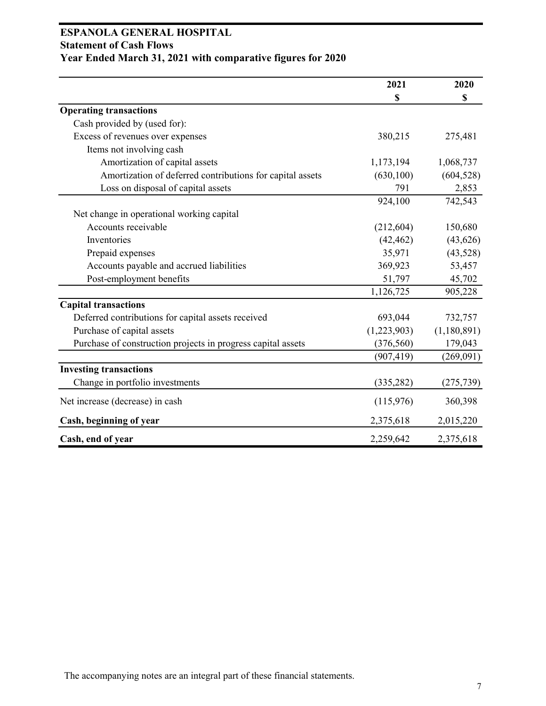### **ESPANOLA GENERAL HOSPITAL Statement of Cash Flows Year Ended March 31, 2021 with comparative figures for 2020**

|                                                              | 2021        | 2020        |
|--------------------------------------------------------------|-------------|-------------|
|                                                              | \$          | \$          |
| <b>Operating transactions</b>                                |             |             |
| Cash provided by (used for):                                 |             |             |
| Excess of revenues over expenses                             | 380,215     | 275,481     |
| Items not involving cash                                     |             |             |
| Amortization of capital assets                               | 1,173,194   | 1,068,737   |
| Amortization of deferred contributions for capital assets    | (630, 100)  | (604, 528)  |
| Loss on disposal of capital assets                           | 791         | 2,853       |
|                                                              | 924,100     | 742,543     |
| Net change in operational working capital                    |             |             |
| Accounts receivable                                          | (212, 604)  | 150,680     |
| Inventories                                                  | (42, 462)   | (43, 626)   |
| Prepaid expenses                                             | 35,971      | (43,528)    |
| Accounts payable and accrued liabilities                     | 369,923     | 53,457      |
| Post-employment benefits                                     | 51,797      | 45,702      |
|                                                              | 1,126,725   | 905,228     |
| <b>Capital transactions</b>                                  |             |             |
| Deferred contributions for capital assets received           | 693,044     | 732,757     |
| Purchase of capital assets                                   | (1,223,903) | (1,180,891) |
| Purchase of construction projects in progress capital assets | (376, 560)  | 179,043     |
|                                                              | (907, 419)  | (269,091)   |
| <b>Investing transactions</b>                                |             |             |
| Change in portfolio investments                              | (335, 282)  | (275, 739)  |
| Net increase (decrease) in cash                              | (115,976)   | 360,398     |
| Cash, beginning of year                                      | 2,375,618   | 2,015,220   |
| Cash, end of year                                            | 2,259,642   | 2,375,618   |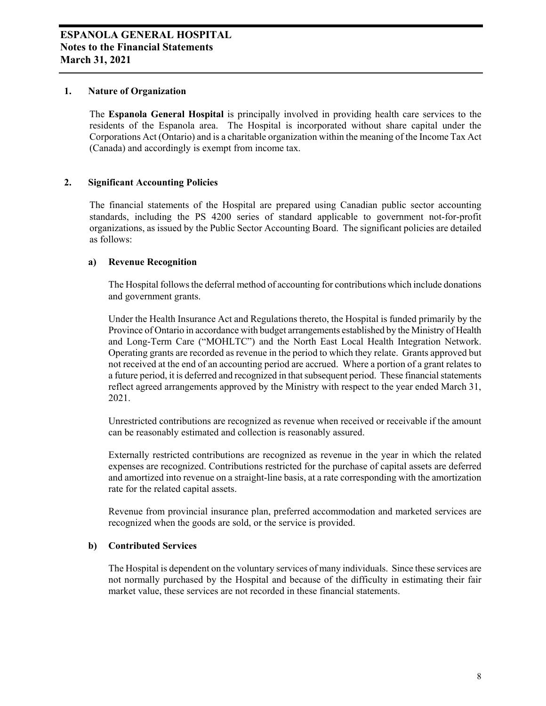#### **1. Nature of Organization**

The **Espanola General Hospital** is principally involved in providing health care services to the residents of the Espanola area. The Hospital is incorporated without share capital under the Corporations Act (Ontario) and is a charitable organization within the meaning of the Income Tax Act (Canada) and accordingly is exempt from income tax.

#### **2. Significant Accounting Policies**

The financial statements of the Hospital are prepared using Canadian public sector accounting standards, including the PS 4200 series of standard applicable to government not-for-profit organizations, as issued by the Public Sector Accounting Board. The significant policies are detailed as follows:

#### **a) Revenue Recognition**

The Hospital follows the deferral method of accounting for contributions which include donations and government grants.

Under the Health Insurance Act and Regulations thereto, the Hospital is funded primarily by the Province of Ontario in accordance with budget arrangements established by the Ministry of Health and Long-Term Care ("MOHLTC") and the North East Local Health Integration Network. Operating grants are recorded as revenue in the period to which they relate. Grants approved but not received at the end of an accounting period are accrued. Where a portion of a grant relates to a future period, it is deferred and recognized in that subsequent period. These financial statements reflect agreed arrangements approved by the Ministry with respect to the year ended March 31, 2021.

Unrestricted contributions are recognized as revenue when received or receivable if the amount can be reasonably estimated and collection is reasonably assured.

Externally restricted contributions are recognized as revenue in the year in which the related expenses are recognized. Contributions restricted for the purchase of capital assets are deferred and amortized into revenue on a straight-line basis, at a rate corresponding with the amortization rate for the related capital assets.

Revenue from provincial insurance plan, preferred accommodation and marketed services are recognized when the goods are sold, or the service is provided.

#### **b) Contributed Services**

The Hospital is dependent on the voluntary services of many individuals. Since these services are not normally purchased by the Hospital and because of the difficulty in estimating their fair market value, these services are not recorded in these financial statements.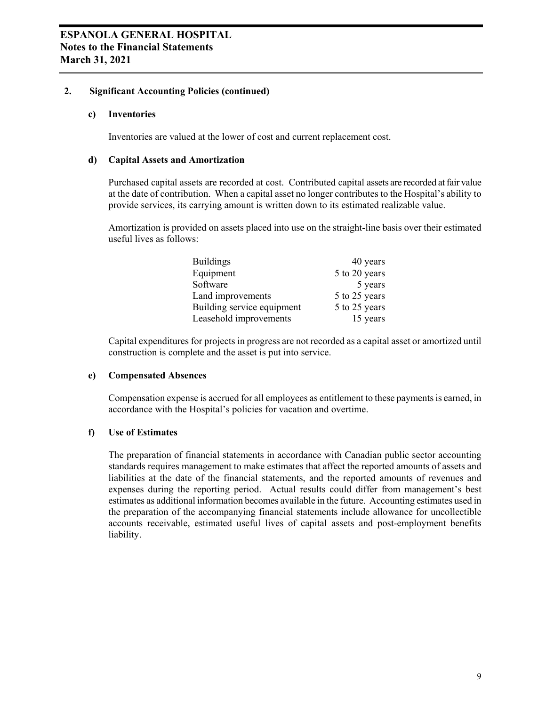#### **2. Significant Accounting Policies (continued)**

#### **c) Inventories**

Inventories are valued at the lower of cost and current replacement cost.

#### **d) Capital Assets and Amortization**

Purchased capital assets are recorded at cost. Contributed capital assets are recorded at fair value at the date of contribution. When a capital asset no longer contributes to the Hospital's ability to provide services, its carrying amount is written down to its estimated realizable value.

Amortization is provided on assets placed into use on the straight-line basis over their estimated useful lives as follows:

| <b>Buildings</b>           | 40 years      |
|----------------------------|---------------|
| Equipment                  | 5 to 20 years |
| Software                   | 5 years       |
| Land improvements          | 5 to 25 years |
| Building service equipment | 5 to 25 years |
| Leasehold improvements     | 15 years      |

Capital expenditures for projects in progress are not recorded as a capital asset or amortized until construction is complete and the asset is put into service.

#### **e) Compensated Absences**

Compensation expense is accrued for all employees as entitlement to these payments is earned, in accordance with the Hospital's policies for vacation and overtime.

#### **f) Use of Estimates**

The preparation of financial statements in accordance with Canadian public sector accounting standards requires management to make estimates that affect the reported amounts of assets and liabilities at the date of the financial statements, and the reported amounts of revenues and expenses during the reporting period. Actual results could differ from management's best estimates as additional information becomes available in the future. Accounting estimates used in the preparation of the accompanying financial statements include allowance for uncollectible accounts receivable, estimated useful lives of capital assets and post-employment benefits liability.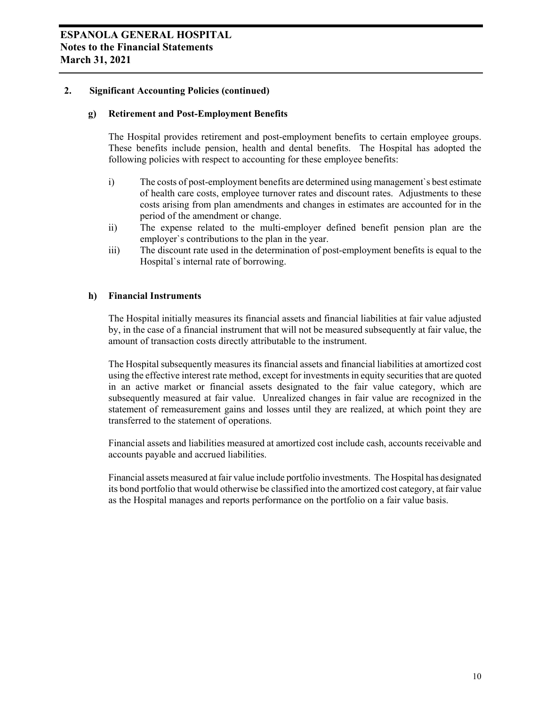#### **2. Significant Accounting Policies (continued)**

#### **g) Retirement and Post-Employment Benefits**

The Hospital provides retirement and post-employment benefits to certain employee groups. These benefits include pension, health and dental benefits. The Hospital has adopted the following policies with respect to accounting for these employee benefits:

- i) The costs of post-employment benefits are determined using management`s best estimate of health care costs, employee turnover rates and discount rates. Adjustments to these costs arising from plan amendments and changes in estimates are accounted for in the period of the amendment or change.
- ii) The expense related to the multi-employer defined benefit pension plan are the employer`s contributions to the plan in the year.
- iii) The discount rate used in the determination of post-employment benefits is equal to the Hospital`s internal rate of borrowing.

#### **h) Financial Instruments**

The Hospital initially measures its financial assets and financial liabilities at fair value adjusted by, in the case of a financial instrument that will not be measured subsequently at fair value, the amount of transaction costs directly attributable to the instrument.

The Hospital subsequently measures its financial assets and financial liabilities at amortized cost using the effective interest rate method, except for investments in equity securities that are quoted in an active market or financial assets designated to the fair value category, which are subsequently measured at fair value. Unrealized changes in fair value are recognized in the statement of remeasurement gains and losses until they are realized, at which point they are transferred to the statement of operations.

Financial assets and liabilities measured at amortized cost include cash, accounts receivable and accounts payable and accrued liabilities.

Financial assets measured at fair value include portfolio investments. The Hospital has designated its bond portfolio that would otherwise be classified into the amortized cost category, at fair value as the Hospital manages and reports performance on the portfolio on a fair value basis.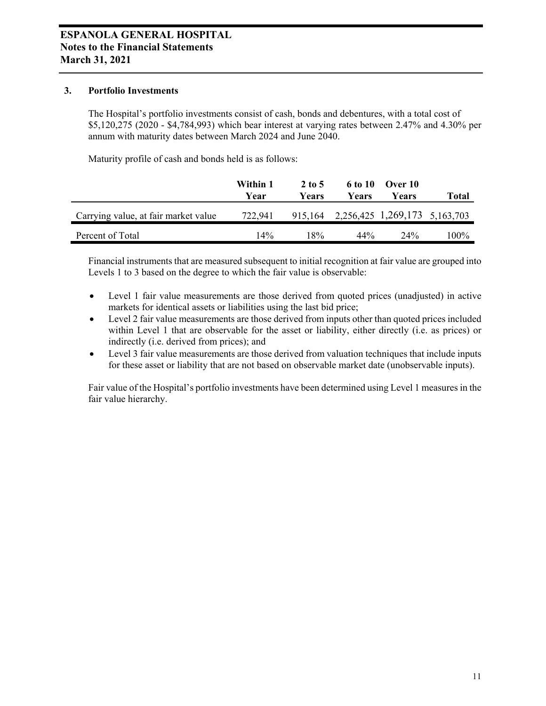#### **3. Portfolio Investments**

The Hospital's portfolio investments consist of cash, bonds and debentures, with a total cost of \$5,120,275 (2020 - \$4,784,993) which bear interest at varying rates between 2.47% and 4.30% per annum with maturity dates between March 2024 and June 2040.

Maturity profile of cash and bonds held is as follows:

|                                      | Within 1<br>Year | 2 to 5<br>Years | 6 to 10<br>Years | Over 10<br>Years                      | Total |
|--------------------------------------|------------------|-----------------|------------------|---------------------------------------|-------|
| Carrying value, at fair market value | 722.941          |                 |                  | 915,164 2,256,425 1,269,173 5,163,703 |       |
| Percent of Total                     | 14%              | 18%             | 44%              | 74%                                   | 100%  |

Financial instruments that are measured subsequent to initial recognition at fair value are grouped into Levels 1 to 3 based on the degree to which the fair value is observable:

- Level 1 fair value measurements are those derived from quoted prices (unadjusted) in active markets for identical assets or liabilities using the last bid price;
- Level 2 fair value measurements are those derived from inputs other than quoted prices included within Level 1 that are observable for the asset or liability, either directly (i.e. as prices) or indirectly (i.e. derived from prices); and
- Level 3 fair value measurements are those derived from valuation techniques that include inputs for these asset or liability that are not based on observable market date (unobservable inputs).

Fair value of the Hospital's portfolio investments have been determined using Level 1 measures in the fair value hierarchy.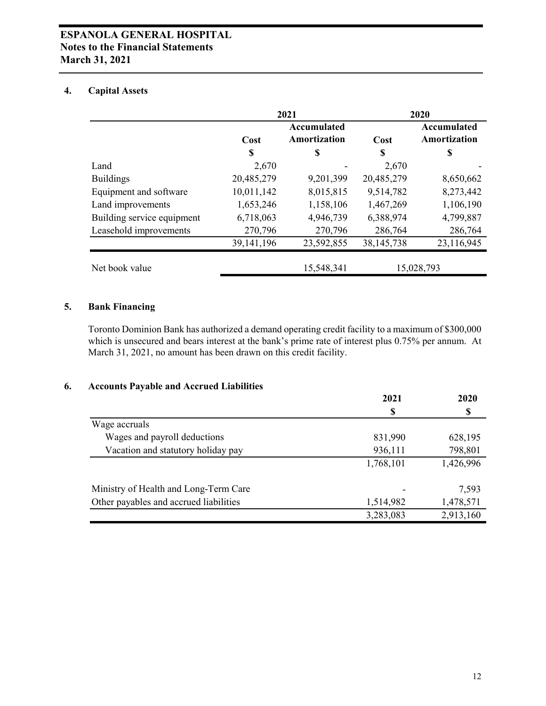#### **4. Capital Assets**

|                            | 2021         |                             |              | 2020                        |
|----------------------------|--------------|-----------------------------|--------------|-----------------------------|
|                            | Cost         | Accumulated<br>Amortization | Cost         | Accumulated<br>Amortization |
|                            | \$           | S                           | S            | \$                          |
| Land                       | 2,670        |                             | 2,670        |                             |
| <b>Buildings</b>           | 20,485,279   | 9,201,399                   | 20,485,279   | 8,650,662                   |
| Equipment and software     | 10,011,142   | 8,015,815                   | 9,514,782    | 8,273,442                   |
| Land improvements          | 1,653,246    | 1,158,106                   | 1,467,269    | 1,106,190                   |
| Building service equipment | 6,718,063    | 4,946,739                   | 6,388,974    | 4,799,887                   |
| Leasehold improvements     | 270,796      | 270,796                     | 286,764      | 286,764                     |
|                            | 39, 141, 196 | 23,592,855                  | 38, 145, 738 | 23,116,945                  |
| Net book value             |              | 15,548,341                  |              | 15,028,793                  |

#### **5. Bank Financing**

Toronto Dominion Bank has authorized a demand operating credit facility to a maximum of \$300,000 which is unsecured and bears interest at the bank's prime rate of interest plus 0.75% per annum. At March 31, 2021, no amount has been drawn on this credit facility.

#### **6. Accounts Payable and Accrued Liabilities**

|                                        | 2021      | 2020      |
|----------------------------------------|-----------|-----------|
|                                        | S         | \$        |
| Wage accruals                          |           |           |
| Wages and payroll deductions           | 831,990   | 628,195   |
| Vacation and statutory holiday pay     | 936,111   | 798,801   |
|                                        | 1,768,101 | 1,426,996 |
| Ministry of Health and Long-Term Care  |           | 7,593     |
| Other payables and accrued liabilities | 1,514,982 | 1,478,571 |
|                                        | 3,283,083 | 2,913,160 |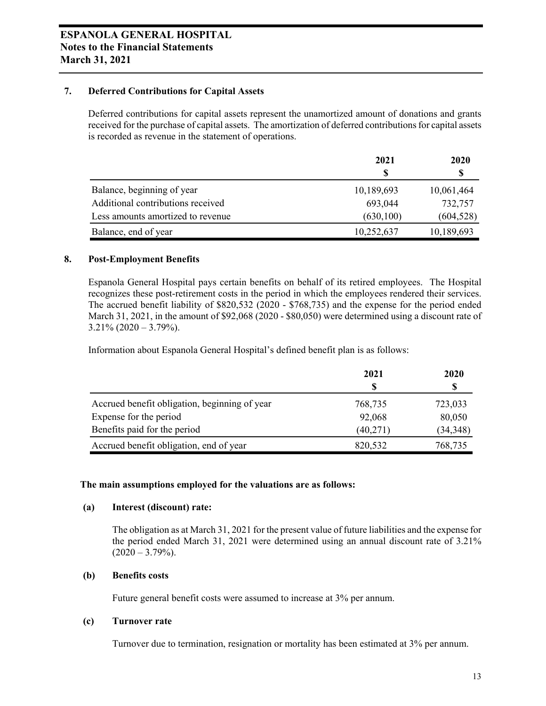#### **7. Deferred Contributions for Capital Assets**

Deferred contributions for capital assets represent the unamortized amount of donations and grants received for the purchase of capital assets. The amortization of deferred contributions for capital assets is recorded as revenue in the statement of operations.

|                                   | 2021       | 2020       |  |
|-----------------------------------|------------|------------|--|
|                                   |            |            |  |
| Balance, beginning of year        | 10,189,693 | 10,061,464 |  |
| Additional contributions received | 693,044    | 732,757    |  |
| Less amounts amortized to revenue | (630, 100) | (604, 528) |  |
| Balance, end of year              | 10,252,637 | 10,189,693 |  |

#### **8. Post-Employment Benefits**

Espanola General Hospital pays certain benefits on behalf of its retired employees. The Hospital recognizes these post-retirement costs in the period in which the employees rendered their services. The accrued benefit liability of \$820,532 (2020 - \$768,735) and the expense for the period ended March 31, 2021, in the amount of \$92,068 (2020 - \$80,050) were determined using a discount rate of  $3.21\%$  (2020 – 3.79%).

Information about Espanola General Hospital's defined benefit plan is as follows:

|                                               | 2021     | 2020      |  |
|-----------------------------------------------|----------|-----------|--|
|                                               |          |           |  |
| Accrued benefit obligation, beginning of year | 768,735  | 723,033   |  |
| Expense for the period                        | 92,068   | 80,050    |  |
| Benefits paid for the period                  | (40,271) | (34, 348) |  |
| Accrued benefit obligation, end of year       | 820,532  | 768,735   |  |

#### **The main assumptions employed for the valuations are as follows:**

#### **(a) Interest (discount) rate:**

The obligation as at March 31, 2021 for the present value of future liabilities and the expense for the period ended March 31, 2021 were determined using an annual discount rate of 3.21%  $(2020 - 3.79\%)$ .

#### **(b) Benefits costs**

Future general benefit costs were assumed to increase at 3% per annum.

#### **(c) Turnover rate**

Turnover due to termination, resignation or mortality has been estimated at 3% per annum.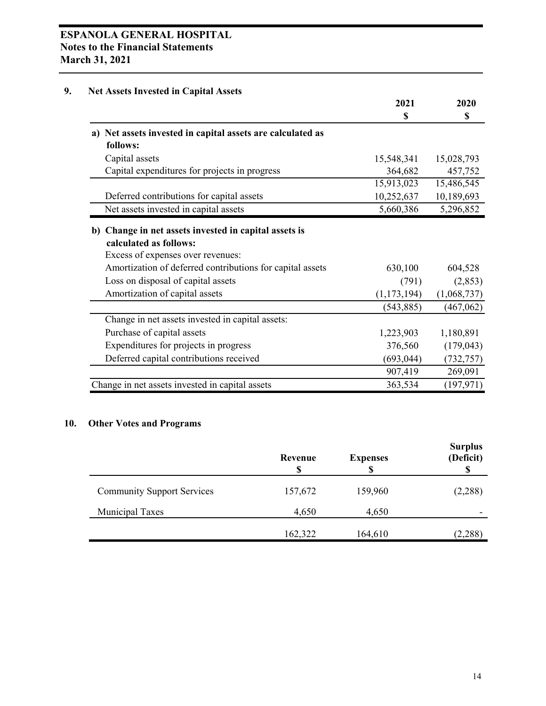### **ESPANOLA GENERAL HOSPITAL Notes to the Financial Statements March 31, 2021**

### **9. Net Assets Invested in Capital Assets**

|                                                                                                                      | 2021          | 2020        |
|----------------------------------------------------------------------------------------------------------------------|---------------|-------------|
|                                                                                                                      | \$            | \$          |
| a) Net assets invested in capital assets are calculated as<br>follows:                                               |               |             |
| Capital assets                                                                                                       | 15,548,341    | 15,028,793  |
| Capital expenditures for projects in progress                                                                        | 364,682       | 457,752     |
|                                                                                                                      | 15,913,023    | 15,486,545  |
| Deferred contributions for capital assets                                                                            | 10,252,637    | 10,189,693  |
| Net assets invested in capital assets                                                                                | 5,660,386     | 5,296,852   |
| b) Change in net assets invested in capital assets is<br>calculated as follows:<br>Excess of expenses over revenues: |               |             |
| Amortization of deferred contributions for capital assets                                                            | 630,100       | 604,528     |
| Loss on disposal of capital assets                                                                                   | (791)         | (2,853)     |
| Amortization of capital assets                                                                                       | (1, 173, 194) | (1,068,737) |
|                                                                                                                      | (543, 885)    | (467, 062)  |
| Change in net assets invested in capital assets:                                                                     |               |             |
| Purchase of capital assets                                                                                           | 1,223,903     | 1,180,891   |
| Expenditures for projects in progress                                                                                | 376,560       | (179, 043)  |
| Deferred capital contributions received                                                                              | (693, 044)    | (732, 757)  |
|                                                                                                                      | 907,419       | 269,091     |
| Change in net assets invested in capital assets                                                                      | 363,534       | (197, 971)  |

### **10. Other Votes and Programs**

|                                   | Revenue<br>S | <b>Expenses</b> | <b>Surplus</b><br>(Deficit) |
|-----------------------------------|--------------|-----------------|-----------------------------|
| <b>Community Support Services</b> | 157,672      | 159,960         | (2,288)                     |
| <b>Municipal Taxes</b>            | 4,650        | 4,650           |                             |
|                                   | 162,322      | 164,610         | (2,288)                     |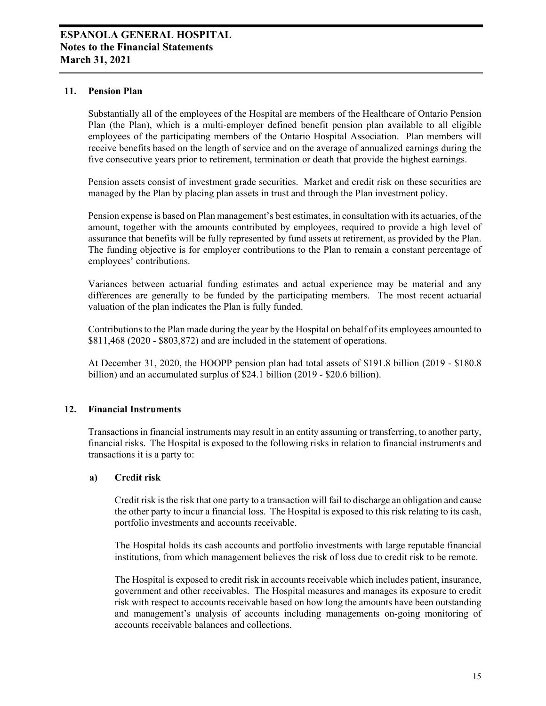#### **11. Pension Plan**

Substantially all of the employees of the Hospital are members of the Healthcare of Ontario Pension Plan (the Plan), which is a multi-employer defined benefit pension plan available to all eligible employees of the participating members of the Ontario Hospital Association. Plan members will receive benefits based on the length of service and on the average of annualized earnings during the five consecutive years prior to retirement, termination or death that provide the highest earnings.

Pension assets consist of investment grade securities. Market and credit risk on these securities are managed by the Plan by placing plan assets in trust and through the Plan investment policy.

Pension expense is based on Plan management's best estimates, in consultation with its actuaries, of the amount, together with the amounts contributed by employees, required to provide a high level of assurance that benefits will be fully represented by fund assets at retirement, as provided by the Plan. The funding objective is for employer contributions to the Plan to remain a constant percentage of employees' contributions.

Variances between actuarial funding estimates and actual experience may be material and any differences are generally to be funded by the participating members. The most recent actuarial valuation of the plan indicates the Plan is fully funded.

Contributions to the Plan made during the year by the Hospital on behalf of its employees amounted to \$811,468 (2020 - \$803,872) and are included in the statement of operations.

At December 31, 2020, the HOOPP pension plan had total assets of \$191.8 billion (2019 - \$180.8 billion) and an accumulated surplus of \$24.1 billion (2019 - \$20.6 billion).

#### **12. Financial Instruments**

Transactions in financial instruments may result in an entity assuming or transferring, to another party, financial risks. The Hospital is exposed to the following risks in relation to financial instruments and transactions it is a party to:

#### **a) Credit risk**

Credit risk is the risk that one party to a transaction will fail to discharge an obligation and cause the other party to incur a financial loss. The Hospital is exposed to this risk relating to its cash, portfolio investments and accounts receivable.

The Hospital holds its cash accounts and portfolio investments with large reputable financial institutions, from which management believes the risk of loss due to credit risk to be remote.

The Hospital is exposed to credit risk in accounts receivable which includes patient, insurance, government and other receivables. The Hospital measures and manages its exposure to credit risk with respect to accounts receivable based on how long the amounts have been outstanding and management's analysis of accounts including managements on-going monitoring of accounts receivable balances and collections.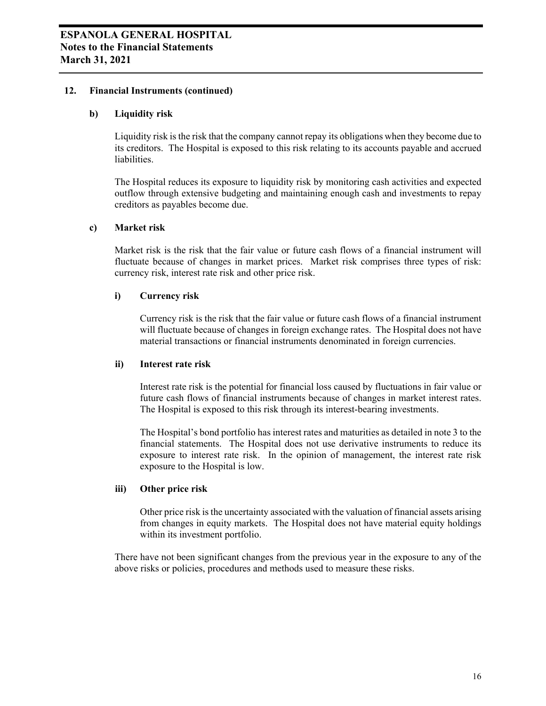#### **12. Financial Instruments (continued)**

#### **b) Liquidity risk**

Liquidity risk is the risk that the company cannot repay its obligations when they become due to its creditors. The Hospital is exposed to this risk relating to its accounts payable and accrued liabilities.

The Hospital reduces its exposure to liquidity risk by monitoring cash activities and expected outflow through extensive budgeting and maintaining enough cash and investments to repay creditors as payables become due.

#### **c) Market risk**

Market risk is the risk that the fair value or future cash flows of a financial instrument will fluctuate because of changes in market prices. Market risk comprises three types of risk: currency risk, interest rate risk and other price risk.

#### **i) Currency risk**

Currency risk is the risk that the fair value or future cash flows of a financial instrument will fluctuate because of changes in foreign exchange rates. The Hospital does not have material transactions or financial instruments denominated in foreign currencies.

#### **ii) Interest rate risk**

Interest rate risk is the potential for financial loss caused by fluctuations in fair value or future cash flows of financial instruments because of changes in market interest rates. The Hospital is exposed to this risk through its interest-bearing investments.

The Hospital's bond portfolio has interest rates and maturities as detailed in note 3 to the financial statements. The Hospital does not use derivative instruments to reduce its exposure to interest rate risk. In the opinion of management, the interest rate risk exposure to the Hospital is low.

#### **iii) Other price risk**

Other price risk is the uncertainty associated with the valuation of financial assets arising from changes in equity markets. The Hospital does not have material equity holdings within its investment portfolio.

There have not been significant changes from the previous year in the exposure to any of the above risks or policies, procedures and methods used to measure these risks.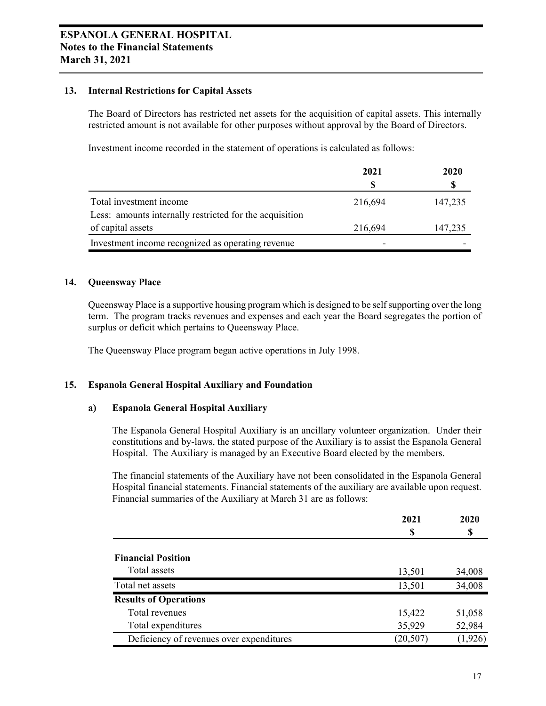#### **13. Internal Restrictions for Capital Assets**

The Board of Directors has restricted net assets for the acquisition of capital assets. This internally restricted amount is not available for other purposes without approval by the Board of Directors.

Investment income recorded in the statement of operations is calculated as follows:

|                                                         | 2021    | 2020    |  |
|---------------------------------------------------------|---------|---------|--|
|                                                         |         |         |  |
| Total investment income                                 | 216,694 | 147,235 |  |
| Less: amounts internally restricted for the acquisition |         |         |  |
| of capital assets                                       | 216,694 | 147,235 |  |
| Investment income recognized as operating revenue       |         |         |  |

#### **14. Queensway Place**

Queensway Place is a supportive housing program which is designed to be self supporting over the long term. The program tracks revenues and expenses and each year the Board segregates the portion of surplus or deficit which pertains to Queensway Place.

The Queensway Place program began active operations in July 1998.

#### **15. Espanola General Hospital Auxiliary and Foundation**

#### **a) Espanola General Hospital Auxiliary**

The Espanola General Hospital Auxiliary is an ancillary volunteer organization. Under their constitutions and by-laws, the stated purpose of the Auxiliary is to assist the Espanola General Hospital. The Auxiliary is managed by an Executive Board elected by the members.

The financial statements of the Auxiliary have not been consolidated in the Espanola General Hospital financial statements. Financial statements of the auxiliary are available upon request. Financial summaries of the Auxiliary at March 31 are as follows:

|                                          | 2021<br>S | 2020<br>S |  |
|------------------------------------------|-----------|-----------|--|
|                                          |           |           |  |
|                                          |           |           |  |
| <b>Financial Position</b>                |           |           |  |
| Total assets                             | 13,501    | 34,008    |  |
| Total net assets                         | 13,501    | 34,008    |  |
| <b>Results of Operations</b>             |           |           |  |
| Total revenues                           | 15,422    | 51,058    |  |
| Total expenditures                       | 35,929    | 52,984    |  |
| Deficiency of revenues over expenditures | (20, 507) | (1, 926)  |  |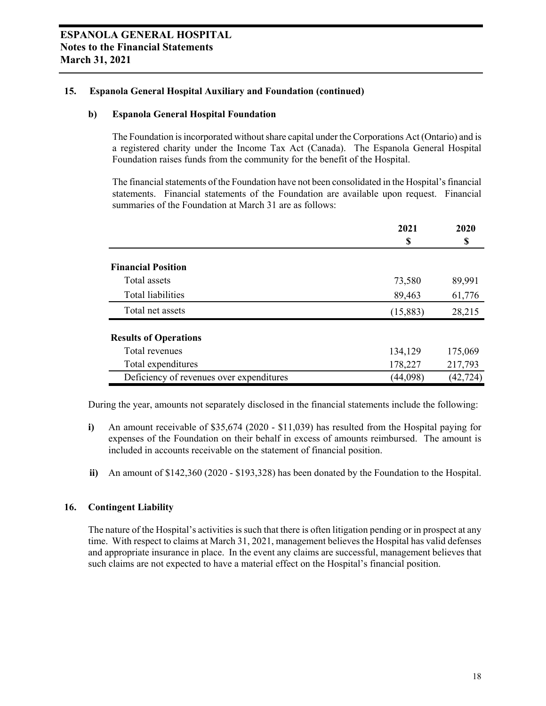#### **15. Espanola General Hospital Auxiliary and Foundation (continued)**

#### **b) Espanola General Hospital Foundation**

The Foundation is incorporated without share capital under the Corporations Act (Ontario) and is a registered charity under the Income Tax Act (Canada). The Espanola General Hospital Foundation raises funds from the community for the benefit of the Hospital.

The financial statements of the Foundation have not been consolidated in the Hospital's financial statements. Financial statements of the Foundation are available upon request. Financial summaries of the Foundation at March 31 are as follows:

|                                          | 2021     | 2020      |
|------------------------------------------|----------|-----------|
|                                          | S        | S         |
| <b>Financial Position</b>                |          |           |
| Total assets                             | 73,580   | 89,991    |
| Total liabilities                        | 89,463   | 61,776    |
| Total net assets                         | (15,883) | 28,215    |
| <b>Results of Operations</b>             |          |           |
| Total revenues                           | 134,129  | 175,069   |
| Total expenditures                       | 178,227  | 217,793   |
| Deficiency of revenues over expenditures | (44,098) | (42, 724) |

During the year, amounts not separately disclosed in the financial statements include the following:

- **i)** An amount receivable of \$35,674 (2020 \$11,039) has resulted from the Hospital paying for expenses of the Foundation on their behalf in excess of amounts reimbursed. The amount is included in accounts receivable on the statement of financial position.
- **ii)** An amount of \$142,360 (2020 \$193,328) has been donated by the Foundation to the Hospital.

#### **16. Contingent Liability**

The nature of the Hospital's activities is such that there is often litigation pending or in prospect at any time. With respect to claims at March 31, 2021, management believes the Hospital has valid defenses and appropriate insurance in place. In the event any claims are successful, management believes that such claims are not expected to have a material effect on the Hospital's financial position.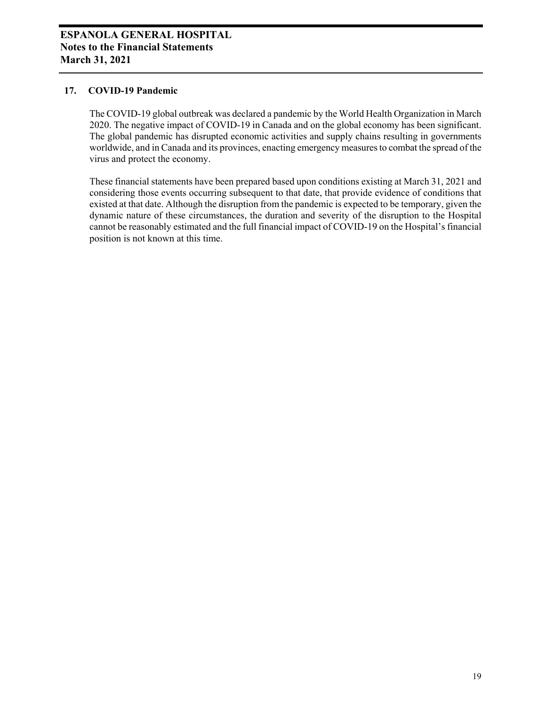#### **17. COVID-19 Pandemic**

The COVID-19 global outbreak was declared a pandemic by the World Health Organization in March 2020. The negative impact of COVID-19 in Canada and on the global economy has been significant. The global pandemic has disrupted economic activities and supply chains resulting in governments worldwide, and in Canada and its provinces, enacting emergency measures to combat the spread of the virus and protect the economy.

These financial statements have been prepared based upon conditions existing at March 31, 2021 and considering those events occurring subsequent to that date, that provide evidence of conditions that existed at that date. Although the disruption from the pandemic is expected to be temporary, given the dynamic nature of these circumstances, the duration and severity of the disruption to the Hospital cannot be reasonably estimated and the full financial impact of COVID-19 on the Hospital's financial position is not known at this time.